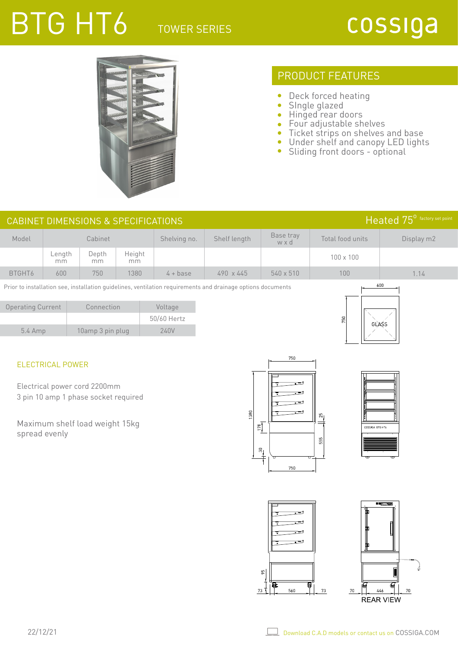## TOWER SERIES

# BTG HT6



### PRODUCT FEATURES

- $\bullet$ Deck forced heating
- $\bullet$ SIngle glazed
- $\bullet$ Hinged rear doors
- $\bullet$ Four adjustable shelves
- Ticket strips on shelves and base
- Under shelf and canopy LED lights
- Sliding front doors optional

|                                                                                                                    |                         | <b>CABINET DIMENSIONS &amp; SPECIFICATIONS</b>                       |              |                 |              |                          |                  | Heated 75 <sup>0</sup> factory set point |  |
|--------------------------------------------------------------------------------------------------------------------|-------------------------|----------------------------------------------------------------------|--------------|-----------------|--------------|--------------------------|------------------|------------------------------------------|--|
| Model                                                                                                              |                         | Cabinet                                                              |              | Shelving no.    | Shelf length | Base tray<br>w x d       | Total food units | Display m2                               |  |
|                                                                                                                    | Length<br>mm            | Depth<br>mm                                                          | Height<br>mm |                 |              |                          | 100 x 100        |                                          |  |
| BTGHT6                                                                                                             | 600                     | 750                                                                  | 1380         | $4 + base$      | 490 x 445    | 540 x 510                | 100              | 1.14                                     |  |
| 600<br>Prior to installation see, installation guidelines, ventilation requirements and drainage options documents |                         |                                                                      |              |                 |              |                          |                  |                                          |  |
| <b>Operating Current</b>                                                                                           |                         | Connection                                                           |              | Voltage         |              |                          |                  |                                          |  |
|                                                                                                                    |                         |                                                                      |              | 50/60 Hertz     |              |                          | 750<br>GLASS     |                                          |  |
| 5.4 Amp                                                                                                            |                         | 10amp 3 pin plug                                                     |              | 240V            |              |                          |                  |                                          |  |
|                                                                                                                    |                         |                                                                      |              |                 |              |                          |                  |                                          |  |
|                                                                                                                    | <b>ELECTRICAL POWER</b> |                                                                      |              |                 |              | 750                      |                  |                                          |  |
|                                                                                                                    |                         |                                                                      |              |                 |              |                          |                  |                                          |  |
|                                                                                                                    |                         | Electrical power cord 2200mm<br>3 pin 10 amp 1 phase socket required |              |                 |              |                          |                  |                                          |  |
|                                                                                                                    |                         |                                                                      |              |                 |              |                          |                  |                                          |  |
| 1380<br>$\frac{5}{25}$<br>Maximum shelf load weight 15kg                                                           |                         |                                                                      |              |                 |              |                          |                  |                                          |  |
| spread evenly                                                                                                      |                         |                                                                      |              | $\frac{178}{2}$ |              | COSSIGA BTG HT6<br>555   |                  |                                          |  |
|                                                                                                                    |                         |                                                                      |              |                 |              | $\frac{50}{4}$           |                  |                                          |  |
|                                                                                                                    |                         |                                                                      |              |                 |              | 750                      |                  |                                          |  |
|                                                                                                                    |                         |                                                                      |              |                 |              |                          |                  |                                          |  |
|                                                                                                                    |                         |                                                                      |              |                 |              |                          |                  |                                          |  |
|                                                                                                                    |                         |                                                                      |              |                 |              |                          |                  | <b></b>                                  |  |
|                                                                                                                    |                         |                                                                      |              |                 |              |                          |                  |                                          |  |
|                                                                                                                    |                         |                                                                      |              |                 |              |                          |                  |                                          |  |
|                                                                                                                    |                         |                                                                      |              |                 |              |                          |                  |                                          |  |
|                                                                                                                    |                         |                                                                      |              |                 |              |                          |                  |                                          |  |
|                                                                                                                    |                         |                                                                      |              |                 |              | $\frac{6}{26}$           |                  |                                          |  |
|                                                                                                                    |                         |                                                                      |              |                 |              | Ω<br>Q.<br>560<br>$73$ ] | 73<br>446<br>70  | $70\,$                                   |  |
|                                                                                                                    |                         |                                                                      |              |                 |              |                          | <b>REAR VIEW</b> |                                          |  |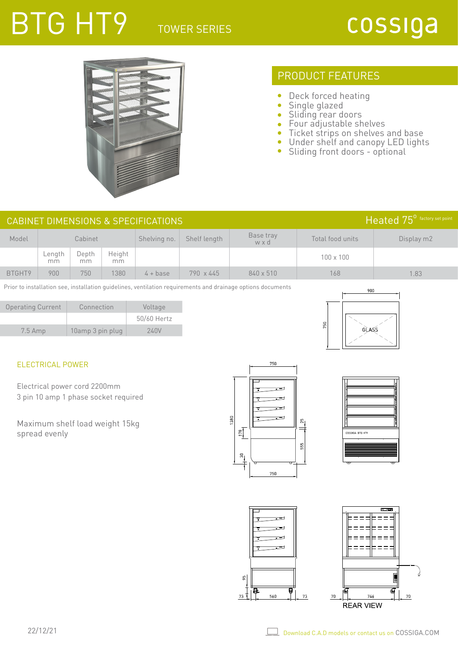### TOWER SERIES

# BTG HT9



### PRODUCT FEATURES

- $\bullet$ Deck forced heating
- $\bullet$ Single glazed
- $\bullet$ Sliding rear doors
- Four adjustable shelves  $\bullet$
- Ticket strips on shelves and base  $\bullet$
- $\bullet$ Under shelf and canopy LED lights
- $\bullet$ Sliding front doors - optional

| Heated 75 <sup>°</sup> factory set point<br>CABINET DIMENSIONS & SPECIFICATIONS |              |             |               |              |              |                  |                  |            |
|---------------------------------------------------------------------------------|--------------|-------------|---------------|--------------|--------------|------------------|------------------|------------|
| Model                                                                           | Cabinet      |             |               | Shelving no. | Shelf length | Base tray<br>wxd | Total food units | Display m2 |
|                                                                                 | ∟ength<br>mm | Depth<br>mm | Height<br>mm. |              |              |                  | $100 \times 100$ |            |
| BTGHT9                                                                          | 900          | 750         | 1380          | $4 + base$   | 790 x 445    | 840 x 510        | 168              | 1.83       |

Prior to installation see, installation guidelines, ventilation requirements and drainage options documents

| <b>Operating Current</b> | Connection       | Voltage     |  |
|--------------------------|------------------|-------------|--|
|                          |                  | 50/60 Hertz |  |
| $7.5$ Amp                | 10amp 3 pin plug | 240V        |  |



### ELECTRICAL POWER

Electrical power cord 2200mm 3 pin 10 amp 1 phase socket required

Maximum shelf load weight 15kg spread evenly





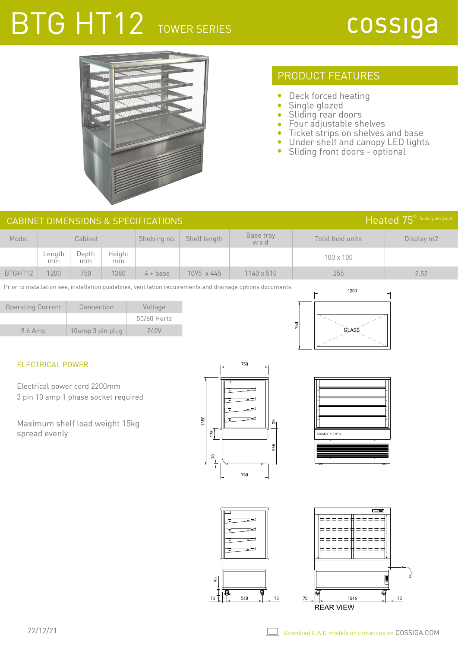## BTG HT12 TOWER SERIES



### PRODUCT FEATURES

- $\bullet$ Deck forced heating
- $\bullet$ Single glazed
- Sliding rear doors
- Four adjustable shelves  $\bullet$
- Ticket strips on shelves and base  $\bullet$
- $\bullet$ Under shelf and canopy LED lights
- $\bullet$ Sliding front doors - optional

| $Heated 75^{\circ}$ factory set point<br>CABINET DIMENSIONS & SPECIFICATIONS |              |             |              |              |              |                  |                  |            |
|------------------------------------------------------------------------------|--------------|-------------|--------------|--------------|--------------|------------------|------------------|------------|
| Model                                                                        | Cabinet      |             |              | Shelving no. | Shelf length | Base tray<br>wxd | Total food units | Display m2 |
|                                                                              | Length<br>mm | Depth<br>mm | Height<br>mm |              |              |                  | $100 \times 100$ |            |
| BTGHT12                                                                      | 1200         | 750         | 1380         | $4 + base$   | 1095 x 445   | 1140 x 510       | 255              | 2.52       |

Prior to installation see, installation guidelines, ventilation requirements and drainage options documents

| <b>Operating Current</b> | Connection       | Voltage     |
|--------------------------|------------------|-------------|
|                          |                  | 50/60 Hertz |
| $9.6$ Amp                | 10amp 3 pin plug | 240V        |



### ELECTRICAL POWER

Electrical power cord 2200mm 3 pin 10 amp 1 phase socket required

Maximum shelf load weight 15kg spread evenly



ξŚ,

73